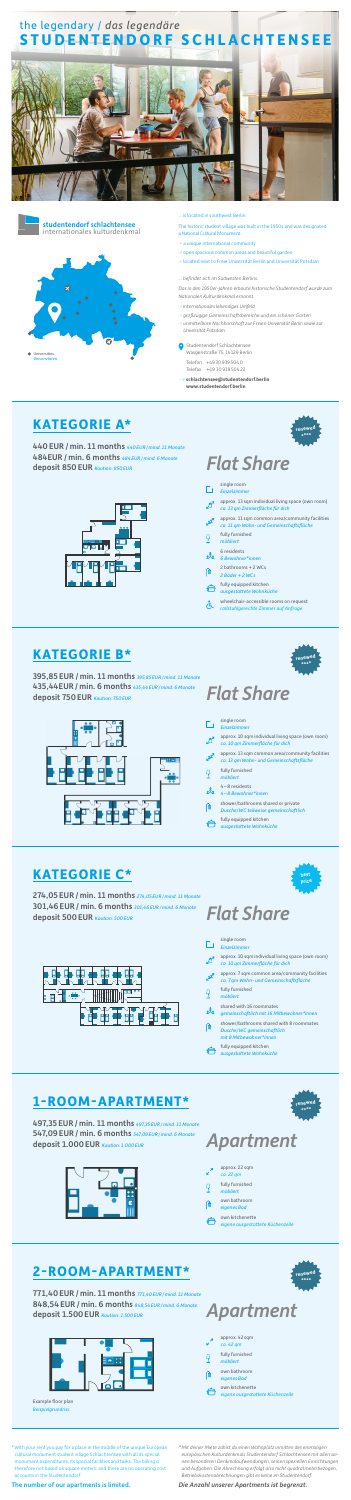#### ... is located in southwest Berlin.

The historic student village was built in the 1950s and was designated a National Cultural Monument.

- $\Rightarrow$  a unique international community
- W open spacious common areas and beautiful garden
- W located next to Freie Universität Berlin and Universität Potsdam

#### *... befindet sich im Südwesten Berlins.*

*Das in den 1950er-Jahren erbaute historische Studentendorf wurde zum Nationalen Kulturdenkmal ernannt.*

Telefon +49309395040 Telefax +49 3093950422

*\* Mit deiner Miete zahlst du einen Wohnplatz inmitten des einmaligen europäischen Kulturdenkmals Studentendorf Schlachtensee mit allen seinen besonderen Denkmalaufwendungen, seinen speziellen Einrichtungen und Aufgaben. Die Abrechnung erfolgt also nicht quadratmeterbezogen, Betriebskostenabrechnungen gibt es keine im Studentendorf.*

- W *internationales lebendiges Umfeld*
- W *großzügige Gemeinschaftsbereiche und ein schöner Garten*
- W *unmittelbare Nachbarschaft zur Freien Universität Berlin sowie zur Universität Potsdam*
- **O** Studentendorf Schlachtensee Wasgenstraße 75, 14129 Berlin

*Die Anzahl unserer Apartments ist begrenzt.*

\* With your rent you pay for a place in the middle of the unique European cultural monument student village Schlachtensee with all its special monument expenditures, its special facilities and tasks. The billing is therefore not based on square meters, and there are no operating cost accounts in the Studentendorf.

The number of our apartments is limited.

#### **studentendorf schlachtensee** internationales kulturdenkmal



W**schlachtensee@studentendorf.berlin www.studentendorf.berlin**



Example floor plan *Beispielgrundriss*



771,40EUR/min. 11 months *771,40EUR/mind. 11 Monate* 848,54EUR/min. 6 months *848,54EUR/mind. 6 Monate* deposit 1.500EUR *Kaution: 1.500EUR*





## **2-ROOM-APARTMENT\***



# **STUDENTENDORF SCHLACHTENSEE** the legendary / *das legendäre*







#### single room

*Einzelzimmer*

approx. 13 sqm individual living space (own room) *ca. 13 qm Zimmerfläche für dich*

approx. 11 sqm common area/community facilities *ca. 11 qm Wohn- und Gemeinschaftsfläche*



fully furnished ģ *möbliert* 6 residents *6 Bewohner\*innen* 2 bathrooms + 2 WCs *2 Bäder + 2 WCs* fully equipped kitchen *ausgestattete Wohnküche* wheelchair-accessible rooms on request ረ£. *rollstuhlgerechte Zimmer auf Anfrage*

440EUR/min. 11 months *440EUR/mind. 11 Monate* 484EUR/min. 6 months *484EUR/mind. 6 Monate* deposit 850EUR *Kaution: 850EUR*



**renewed \*\*\*\***

### **KATEGORIE A\***



274,05EUR/min. 11 months *274,05EUR/mind. 11 Monate* 301,46EUR/min. 6 months *301,46EUR/mind. 6 Monate* deposit 500EUR *Kaution: 500EUR*





*ausgestattete Wohnküche*

**best price**

### **KATEGORIE C\***



497,35EUR/min. 11 months *497,35EUR/mind. 11 Monate* 547,09EUR/min. 6 months *547,09EUR/mind. 6 Monate* deposit 1.000EUR *Kaution: 1.000EUR*



approx. 22 sqm *ca. 22 qm* fully furnished *möbliert* own bathroom *eigenes Bad* own kitchenette *eigene ausgestattete Küchenzeile* 



# **1-ROOM-APARTMENT\***